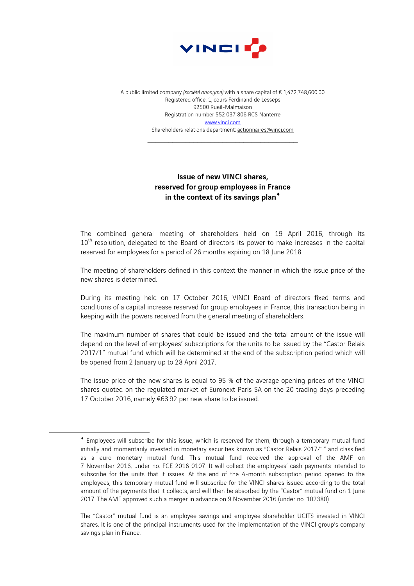

A public limited company *(société anonyme)* with a share capital of € 1,472,748,600.00 Registered office: 1, cours Ferdinand de Lesseps 92500 Rueil-Malmaison Registration number 552 037 806 RCS Nanterre www.vinci.com Shareholders relations department: actionnaires@vinci.com

 $\mathcal{L}_\text{max}$  , and the set of the set of the set of the set of the set of the set of the set of the set of the set of the set of the set of the set of the set of the set of the set of the set of the set of the set of the

## Issue of new VINCI shares, reserved for group employees in France in the context of its savings plan<sup>\*</sup>

The combined general meeting of shareholders held on 19 April 2016, through its  $10<sup>th</sup>$  resolution, delegated to the Board of directors its power to make increases in the capital reserved for employees for a period of 26 months expiring on 18 June 2018.

The meeting of shareholders defined in this context the manner in which the issue price of the new shares is determined.

During its meeting held on 17 October 2016, VINCI Board of directors fixed terms and conditions of a capital increase reserved for group employees in France, this transaction being in keeping with the powers received from the general meeting of shareholders.

The maximum number of shares that could be issued and the total amount of the issue will depend on the level of employees' subscriptions for the units to be issued by the "Castor Relais 2017/1" mutual fund which will be determined at the end of the subscription period which will be opened from 2 January up to 28 April 2017.

The issue price of the new shares is equal to 95 % of the average opening prices of the VINCI shares quoted on the regulated market of Euronext Paris SA on the 20 trading days preceding 17 October 2016, namely €63.92 per new share to be issued.

 $\overline{a}$ 

<sup>¨</sup> Employees will subscribe for this issue, which is reserved for them, through a temporary mutual fund initially and momentarily invested in monetary securities known as "Castor Relais 2017/1" and classified as a euro monetary mutual fund. This mutual fund received the approval of the AMF on 7 November 2016, under no. FCE 2016 0107. It will collect the employees' cash payments intended to subscribe for the units that it issues. At the end of the 4-month subscription period opened to the employees, this temporary mutual fund will subscribe for the VINCI shares issued according to the total amount of the payments that it collects, and will then be absorbed by the "Castor" mutual fund on 1 June 2017. The AMF approved such a merger in advance on 9 November 2016 (under no. 102380).

The "Castor" mutual fund is an employee savings and employee shareholder UCITS invested in VINCI shares. It is one of the principal instruments used for the implementation of the VINCI group's company savings plan in France.